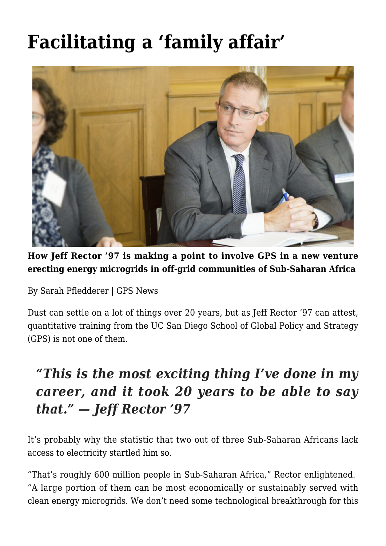# **[Facilitating a 'family affair'](https://gpsnews.ucsd.edu/facilitating-a-family-affair/)**



**How Jeff Rector '97 is making a point to involve GPS in a new venture erecting energy microgrids in off-grid communities of Sub-Saharan Africa**

By Sarah Pfledderer | GPS News

Dust can settle on a lot of things over 20 years, but as Jeff Rector '97 can attest, quantitative training from the UC San Diego School of Global Policy and Strategy (GPS) is not one of them.

# *"This is the most exciting thing I've done in my career, and it took 20 years to be able to say that." — Jeff Rector '97*

It's probably why the statistic that two out of three Sub-Saharan Africans lack access to electricity startled him so.

"That's roughly 600 million people in Sub-Saharan Africa," Rector enlightened. "A large portion of them can be most economically or sustainably served with clean energy microgrids. We don't need some technological breakthrough for this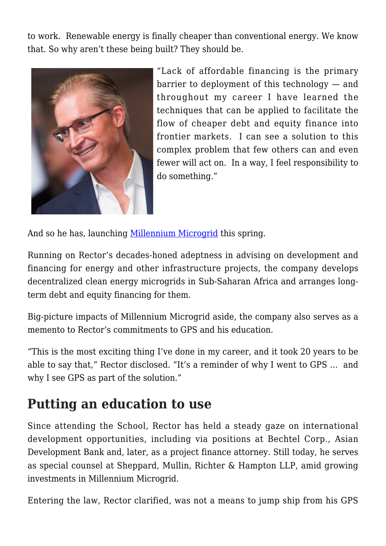to work. Renewable energy is finally cheaper than conventional energy. We know that. So why aren't these being built? They should be.



"Lack of affordable financing is the primary barrier to deployment of this technology — and throughout my career I have learned the techniques that can be applied to facilitate the flow of cheaper debt and equity finance into frontier markets. I can see a solution to this complex problem that few others can and even fewer will act on. In a way, I feel responsibility to do something."

And so he has, launching [Millennium Microgrid](http://mmicrogrid.com/) this spring.

Running on Rector's decades-honed adeptness in advising on development and financing for energy and other infrastructure projects, the company develops decentralized clean energy microgrids in Sub-Saharan Africa and arranges longterm debt and equity financing for them.

Big-picture impacts of Millennium Microgrid aside, the company also serves as a memento to Rector's commitments to GPS and his education.

"This is the most exciting thing I've done in my career, and it took 20 years to be able to say that," Rector disclosed. "It's a reminder of why I went to GPS … and why I see GPS as part of the solution."

#### **Putting an education to use**

Since attending the School, Rector has held a steady gaze on international development opportunities, including via positions at Bechtel Corp., Asian Development Bank and, later, as a project finance attorney. Still today, he serves as special counsel at Sheppard, Mullin, Richter & Hampton LLP, amid growing investments in Millennium Microgrid.

Entering the law, Rector clarified, was not a means to jump ship from his GPS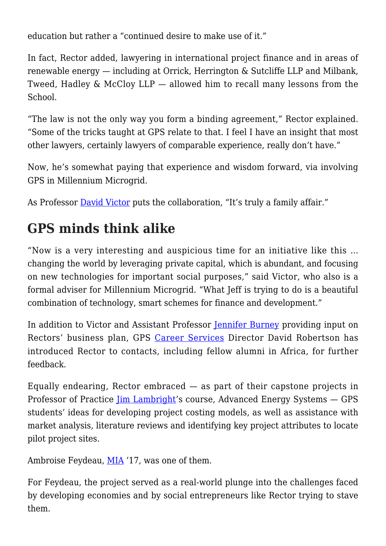education but rather a "continued desire to make use of it."

In fact, Rector added, lawyering in international project finance and in areas of renewable energy — including at Orrick, Herrington & Sutcliffe LLP and Milbank, Tweed, Hadley & McCloy LLP — allowed him to recall many lessons from the School.

"The law is not the only way you form a binding agreement," Rector explained. "Some of the tricks taught at GPS relate to that. I feel I have an insight that most other lawyers, certainly lawyers of comparable experience, really don't have."

Now, he's somewhat paying that experience and wisdom forward, via involving GPS in Millennium Microgrid.

As Professor [David Victor](https://gps.ucsd.edu/faculty-directory/david-victor.html) puts the collaboration, "It's truly a family affair."

# **GPS minds think alike**

"Now is a very interesting and auspicious time for an initiative like this … changing the world by leveraging private capital, which is abundant, and focusing on new technologies for important social purposes," said Victor, who also is a formal adviser for Millennium Microgrid. "What Jeff is trying to do is a beautiful combination of technology, smart schemes for finance and development."

In addition to Victor and Assistant Professor [Jennifer Burney](https://gps.ucsd.edu/faculty-directory/jennifer-burney.html) providing input on Rectors' business plan, GPS [Career Services](https://gps.ucsd.edu/career-services/index.html) Director David Robertson has introduced Rector to contacts, including fellow alumni in Africa, for further feedback.

Equally endearing, Rector embraced  $-$  as part of their capstone projects in Professor of Practice *[Jim Lambright](https://gps.ucsd.edu/faculty-directory/jim-lambright.html)'s* course, Advanced Energy Systems – GPS students' ideas for developing project costing models, as well as assistance with market analysis, literature reviews and identifying key project attributes to locate pilot project sites.

Ambroise Feydeau, [MIA](https://gps.ucsd.edu/academics/mia.html) '17, was one of them.

For Feydeau, the project served as a real-world plunge into the challenges faced by developing economies and by social entrepreneurs like Rector trying to stave them.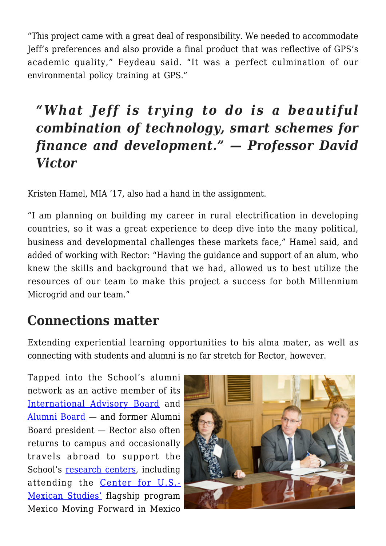"This project came with a great deal of responsibility. We needed to accommodate Jeff's preferences and also provide a final product that was reflective of GPS's academic quality," Feydeau said. "It was a perfect culmination of our environmental policy training at GPS."

# *"What Jeff is trying to do is a beautiful combination of technology, smart schemes for finance and development." — Professor David Victor*

Kristen Hamel, MIA '17, also had a hand in the assignment.

"I am planning on building my career in rural electrification in developing countries, so it was a great experience to deep dive into the many political, business and developmental challenges these markets face," Hamel said, and added of working with Rector: "Having the guidance and support of an alum, who knew the skills and background that we had, allowed us to best utilize the resources of our team to make this project a success for both Millennium Microgrid and our team."

# **Connections matter**

Extending experiential learning opportunities to his alma mater, as well as connecting with students and alumni is no far stretch for Rector, however.

Tapped into the School's alumni network as an active member of its [International Advisory Board](https://gps.ucsd.edu/about/who-we-are.html#2016%E2%80%9317-Members) and [Alumni Board](https://gps.ucsd.edu/alumni-giving/alumni-board.html) — and former Alumni Board president — Rector also often returns to campus and occasionally travels abroad to support the School's [research centers,](https://gps.ucsd.edu/faculty-research/research/index.html) including attending the [Center for U.S.-](https://usmex.ucsd.edu/) [Mexican Studies'](https://usmex.ucsd.edu/) flagship program Mexico Moving Forward in Mexico